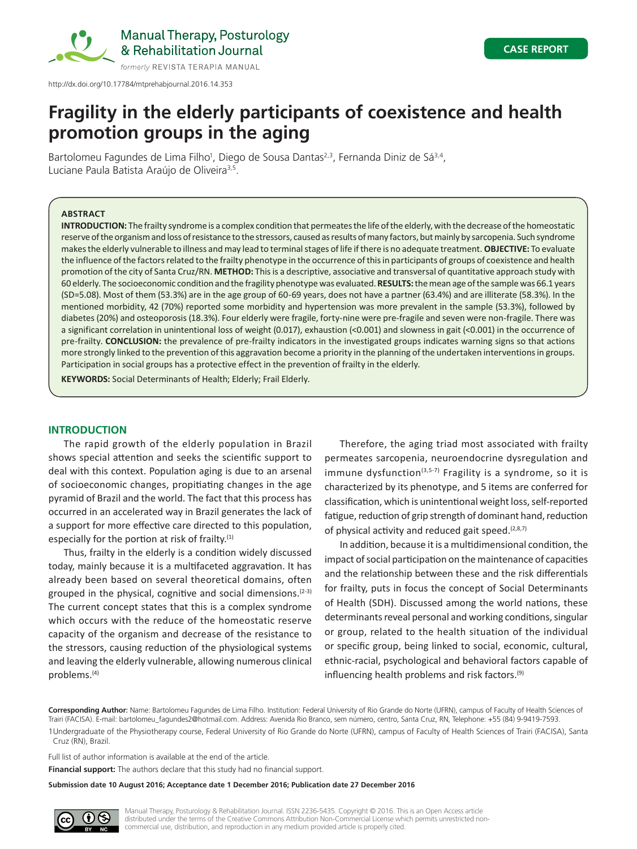

Manual Therapy, Posturology & Rehabilitation Journal

http://dx.doi.org/10.17784/mtprehabjournal.2016.14.353

# **Fragility in the elderly participants of coexistence and health promotion groups in the aging**

Bartolomeu Fagundes de Lima Filho<sup>1</sup>, Diego de Sousa Dantas<sup>2,3</sup>, Fernanda Diniz de Sá<sup>3,4</sup>, Luciane Paula Batista Araújo de Oliveira<sup>3,5</sup>.

# **ABSTRACT**

**INTRODUCTION:** The frailty syndrome is a complex condition that permeates the life of the elderly, with the decrease of the homeostatic reserve of the organism and loss of resistance to the stressors, caused as results of many factors, but mainly by sarcopenia. Such syndrome makes the elderly vulnerable to illness and may lead to terminal stages of life if there is no adequate treatment. **OBJECTIVE:** To evaluate the influence of the factors related to the frailty phenotype in the occurrence of this in participants of groups of coexistence and health promotion of the city of Santa Cruz/RN. **METHOD:** This is a descriptive, associative and transversal of quantitative approach study with 60 elderly. The socioeconomic condition and the fragility phenotype was evaluated. **RESULTS:** the mean age of the sample was 66.1 years (SD=5.08). Most of them (53.3%) are in the age group of 60-69 years, does not have a partner (63.4%) and are illiterate (58.3%). In the mentioned morbidity, 42 (70%) reported some morbidity and hypertension was more prevalent in the sample (53.3%), followed by diabetes (20%) and osteoporosis (18.3%). Four elderly were fragile, forty-nine were pre-fragile and seven were non-fragile. There was a significant correlation in unintentional loss of weight (0.017), exhaustion (<0.001) and slowness in gait (<0.001) in the occurrence of pre-frailty. **CONCLUSION:** the prevalence of pre-frailty indicators in the investigated groups indicates warning signs so that actions more strongly linked to the prevention of this aggravation become a priority in the planning of the undertaken interventions in groups. Participation in social groups has a protective effect in the prevention of frailty in the elderly.

**KEYWORDS:** Social Determinants of Health; Elderly; Frail Elderly.

### **INTRODUCTION**

The rapid growth of the elderly population in Brazil shows special attention and seeks the scientific support to deal with this context. Population aging is due to an arsenal of socioeconomic changes, propitiating changes in the age pyramid of Brazil and the world. The fact that this process has occurred in an accelerated way in Brazil generates the lack of a support for more effective care directed to this population, especially for the portion at risk of frailty. $(1)$ 

Thus, frailty in the elderly is a condition widely discussed today, mainly because it is a multifaceted aggravation. It has already been based on several theoretical domains, often grouped in the physical, cognitive and social dimensions.  $(2-3)$ The current concept states that this is a complex syndrome which occurs with the reduce of the homeostatic reserve capacity of the organism and decrease of the resistance to the stressors, causing reduction of the physiological systems and leaving the elderly vulnerable, allowing numerous clinical problems.(4)

Therefore, the aging triad most associated with frailty permeates sarcopenia, neuroendocrine dysregulation and immune dysfunction<sup>(3,5-7)</sup> Fragility is a syndrome, so it is characterized by its phenotype, and 5 items are conferred for classification, which is unintentional weight loss, self-reported fatigue, reduction of grip strength of dominant hand, reduction of physical activity and reduced gait speed. $(2,8,7)$ 

In addition, because it is a multidimensional condition, the impact of social participation on the maintenance of capacities and the relationship between these and the risk differentials for frailty, puts in focus the concept of Social Determinants of Health (SDH). Discussed among the world nations, these determinants reveal personal and working conditions, singular or group, related to the health situation of the individual or specific group, being linked to social, economic, cultural, ethnic-racial, psychological and behavioral factors capable of influencing health problems and risk factors.<sup>(9)</sup>

**Corresponding Author**: Name: Bartolomeu Fagundes de Lima Filho. Institution: Federal University of Rio Grande do Norte (UFRN), campus of Faculty of Health Sciences of Trairi (FACISA). E-mail: bartolomeu\_fagundes2@hotmail.com. Address: Avenida Rio Branco, sem número, centro, Santa Cruz, RN, Telephone: +55 (84) 9-9419-7593.

1Undergraduate of the Physiotherapy course, Federal University of Rio Grande do Norte (UFRN), campus of Faculty of Health Sciences of Trairi (FACISA), Santa Cruz (RN), Brazil.

Full list of author information is available at the end of the article.

**Financial support:** The authors declare that this study had no financial support.

**Submission date 10 August 2016; Acceptance date 1 December 2016; Publication date 27 December 2016**

Manual Therapy, Posturology & Rehabilitation Journal. ISSN 2236-5435. Copyright © 2016. This is an Open Access article distributed under the terms of the Creative Commons Attribution Non-Commercial License which permits unrestricted noncommercial use, distribution, and reproduction in any medium provided article is properly cited.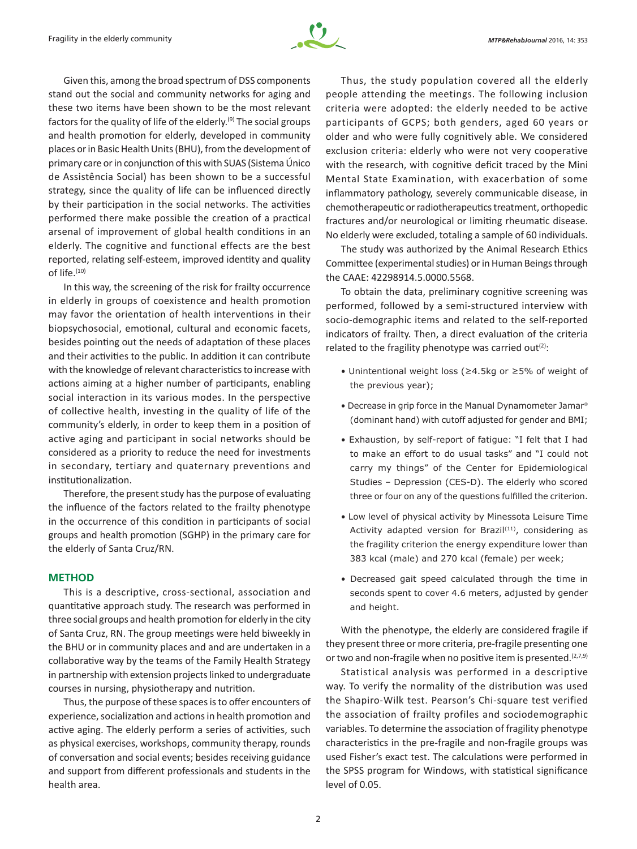

Given this, among the broad spectrum of DSS components stand out the social and community networks for aging and these two items have been shown to be the most relevant factors for the quality of life of the elderly.<sup>(9)</sup> The social groups and health promotion for elderly, developed in community places or in Basic Health Units (BHU), from the development of primary care or in conjunction of this with SUAS (Sistema Único de Assistência Social) has been shown to be a successful strategy, since the quality of life can be influenced directly by their participation in the social networks. The activities performed there make possible the creation of a practical arsenal of improvement of global health conditions in an elderly. The cognitive and functional effects are the best reported, relating self-esteem, improved identity and quality of life. $(10)$ 

In this way, the screening of the risk for frailty occurrence in elderly in groups of coexistence and health promotion may favor the orientation of health interventions in their biopsychosocial, emotional, cultural and economic facets, besides pointing out the needs of adaptation of these places and their activities to the public. In addition it can contribute with the knowledge of relevant characteristics to increase with actions aiming at a higher number of participants, enabling social interaction in its various modes. In the perspective of collective health, investing in the quality of life of the community's elderly, in order to keep them in a position of active aging and participant in social networks should be considered as a priority to reduce the need for investments in secondary, tertiary and quaternary preventions and institutionalization.

Therefore, the present study has the purpose of evaluating the influence of the factors related to the frailty phenotype in the occurrence of this condition in participants of social groups and health promotion (SGHP) in the primary care for the elderly of Santa Cruz/RN.

# **METHOD**

This is a descriptive, cross-sectional, association and quantitative approach study. The research was performed in three social groups and health promotion for elderly in the city of Santa Cruz, RN. The group meetings were held biweekly in the BHU or in community places and and are undertaken in a collaborative way by the teams of the Family Health Strategy in partnership with extension projects linked to undergraduate courses in nursing, physiotherapy and nutrition.

Thus, the purpose of these spaces is to offer encounters of experience, socialization and actions in health promotion and active aging. The elderly perform a series of activities, such as physical exercises, workshops, community therapy, rounds of conversation and social events; besides receiving guidance and support from different professionals and students in the health area.

Thus, the study population covered all the elderly people attending the meetings. The following inclusion criteria were adopted: the elderly needed to be active participants of GCPS; both genders, aged 60 years or older and who were fully cognitively able. We considered exclusion criteria: elderly who were not very cooperative with the research, with cognitive deficit traced by the Mini Mental State Examination, with exacerbation of some inflammatory pathology, severely communicable disease, in chemotherapeutic or radiotherapeutics treatment, orthopedic fractures and/or neurological or limiting rheumatic disease. No elderly were excluded, totaling a sample of 60 individuals.

The study was authorized by the Animal Research Ethics Committee (experimental studies) or in Human Beings through the CAAE: 42298914.5.0000.5568.

To obtain the data, preliminary cognitive screening was performed, followed by a semi-structured interview with socio-demographic items and related to the self-reported indicators of frailty. Then, a direct evaluation of the criteria related to the fragility phenotype was carried out $(2)$ :

- Unintentional weight loss (≥4.5kg or ≥5% of weight of the previous year);
- Decrease in grip force in the Manual Dynamometer Jamar (dominant hand) with cutoff adjusted for gender and BMI;
- Exhaustion, by self-report of fatigue: "I felt that I had to make an effort to do usual tasks" and "I could not carry my things" of the Center for Epidemiological Studies – Depression (CES-D). The elderly who scored three or four on any of the questions fulfilled the criterion.
- Low level of physical activity by Minessota Leisure Time Activity adapted version for Brazil $(11)$ , considering as the fragility criterion the energy expenditure lower than 383 kcal (male) and 270 kcal (female) per week;
- Decreased gait speed calculated through the time in seconds spent to cover 4.6 meters, adjusted by gender and height.

With the phenotype, the elderly are considered fragile if they present three or more criteria, pre-fragile presenting one or two and non-fragile when no positive item is presented.<sup>(2,7,9)</sup>

Statistical analysis was performed in a descriptive way. To verify the normality of the distribution was used the Shapiro-Wilk test. Pearson's Chi-square test verified the association of frailty profiles and sociodemographic variables. To determine the association of fragility phenotype characteristics in the pre-fragile and non-fragile groups was used Fisher's exact test. The calculations were performed in the SPSS program for Windows, with statistical significance level of 0.05.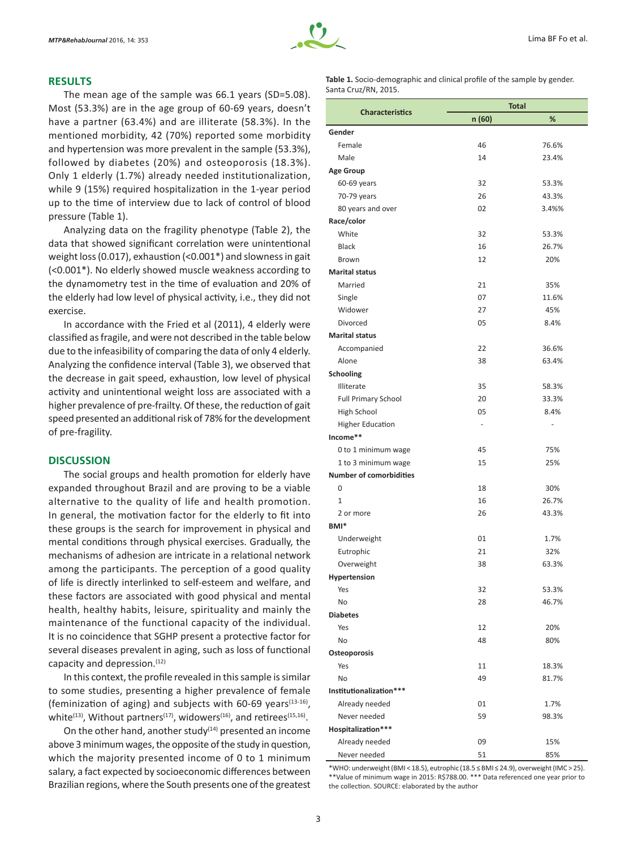### **RESULTS**

The mean age of the sample was 66.1 years (SD=5.08). Most (53.3%) are in the age group of 60-69 years, doesn't have a partner (63.4%) and are illiterate (58.3%). In the mentioned morbidity, 42 (70%) reported some morbidity and hypertension was more prevalent in the sample (53.3%), followed by diabetes (20%) and osteoporosis (18.3%). Only 1 elderly (1.7%) already needed institutionalization, while 9 (15%) required hospitalization in the 1-year period up to the time of interview due to lack of control of blood pressure (Table 1).

Analyzing data on the fragility phenotype (Table 2), the data that showed significant correlation were unintentional weight loss (0.017), exhaustion (<0.001\*) and slowness in gait (<0.001\*). No elderly showed muscle weakness according to the dynamometry test in the time of evaluation and 20% of the elderly had low level of physical activity, i.e., they did not exercise.

In accordance with the Fried et al (2011), 4 elderly were classified as fragile, and were not described in the table below due to the infeasibility of comparing the data of only 4 elderly. Analyzing the confidence interval (Table 3), we observed that the decrease in gait speed, exhaustion, low level of physical activity and unintentional weight loss are associated with a higher prevalence of pre-frailty. Of these, the reduction of gait speed presented an additional risk of 78% for the development of pre-fragility.

#### **DISCUSSION**

The social groups and health promotion for elderly have expanded throughout Brazil and are proving to be a viable alternative to the quality of life and health promotion. In general, the motivation factor for the elderly to fit into these groups is the search for improvement in physical and mental conditions through physical exercises. Gradually, the mechanisms of adhesion are intricate in a relational network among the participants. The perception of a good quality of life is directly interlinked to self-esteem and welfare, and these factors are associated with good physical and mental health, healthy habits, leisure, spirituality and mainly the maintenance of the functional capacity of the individual. It is no coincidence that SGHP present a protective factor for several diseases prevalent in aging, such as loss of functional capacity and depression.(12)

In this context, the profile revealed in this sample is similar to some studies, presenting a higher prevalence of female (feminization of aging) and subjects with 60-69 years $(13-16)$ , white<sup>(13)</sup>, Without partners<sup>(17)</sup>, widowers<sup>(16)</sup>, and retirees<sup>(15,16)</sup>.

On the other hand, another study $(14)$  presented an income above 3 minimum wages, the opposite of the study in question, which the majority presented income of 0 to 1 minimum salary, a fact expected by socioeconomic differences between Brazilian regions, where the South presents one of the greatest

| <b>Table 1.</b> Socio-demographic and clinical profile of the sample by gender. |  |
|---------------------------------------------------------------------------------|--|
| Santa Cruz/RN, 2015.                                                            |  |

|                                | <b>Total</b>             |       |  |  |
|--------------------------------|--------------------------|-------|--|--|
| <b>Characteristics</b>         | n (60)                   | %     |  |  |
| Gender                         |                          |       |  |  |
| Female                         | 46                       | 76.6% |  |  |
| Male                           | 14                       | 23.4% |  |  |
| <b>Age Group</b>               |                          |       |  |  |
| 60-69 years                    | 32                       | 53.3% |  |  |
| 70-79 years                    | 26                       | 43.3% |  |  |
| 80 years and over              | 02                       | 3.4%% |  |  |
| Race/color                     |                          |       |  |  |
| White                          | 32                       | 53.3% |  |  |
| <b>Black</b>                   | 16                       | 26.7% |  |  |
| Brown                          | 12                       | 20%   |  |  |
| <b>Marital status</b>          |                          |       |  |  |
| Married                        | 21                       | 35%   |  |  |
| Single                         | 07                       | 11.6% |  |  |
| Widower                        | 27                       | 45%   |  |  |
| Divorced                       | 05                       | 8.4%  |  |  |
| <b>Marital status</b>          |                          |       |  |  |
| Accompanied                    | 22                       | 36.6% |  |  |
| Alone                          | 38                       | 63.4% |  |  |
| Schooling                      |                          |       |  |  |
| Illiterate                     | 35                       | 58.3% |  |  |
| <b>Full Primary School</b>     | 20                       | 33.3% |  |  |
| High School                    | 05                       | 8.4%  |  |  |
| <b>Higher Education</b>        | $\overline{\phantom{0}}$ | ÷     |  |  |
| Income**                       |                          |       |  |  |
| 0 to 1 minimum wage            | 45                       | 75%   |  |  |
| 1 to 3 minimum wage            | 15                       | 25%   |  |  |
| <b>Number of comorbidities</b> |                          |       |  |  |
| 0                              | 18                       | 30%   |  |  |
| $\mathbf{1}$                   | 16                       | 26.7% |  |  |
| 2 or more                      | 26                       | 43.3% |  |  |
| BMI <sup>*</sup>               |                          |       |  |  |
| Underweight                    | 01                       | 1.7%  |  |  |
| Eutrophic                      | 21                       | 32%   |  |  |
| Overweight                     | 38                       | 63.3% |  |  |
| Hypertension                   |                          |       |  |  |
| Yes                            | 32                       | 53.3% |  |  |
| No                             | 28                       | 46.7% |  |  |
| <b>Diabetes</b>                |                          |       |  |  |
| Yes                            | 12                       | 20%   |  |  |
| No                             | 48                       | 80%   |  |  |
| Osteoporosis                   |                          |       |  |  |
| Yes                            | 11                       | 18.3% |  |  |
| No                             | 49                       | 81.7% |  |  |
| Institutionalization***        |                          |       |  |  |
| Already needed                 | 01                       | 1.7%  |  |  |
| Never needed                   | 59                       | 98.3% |  |  |
| Hospitalization***             |                          |       |  |  |
| Already needed                 | 09                       | 15%   |  |  |
| Never needed                   | 51                       | 85%   |  |  |

\*WHO: underweight (BMI < 18.5), eutrophic (18.5 ≤ BMI ≤ 24.9), overweight (IMC > 25). \*\*Value of minimum wage in 2015: R\$788.00. \*\*\* Data referenced one year prior to the collection. SOURCE: elaborated by the author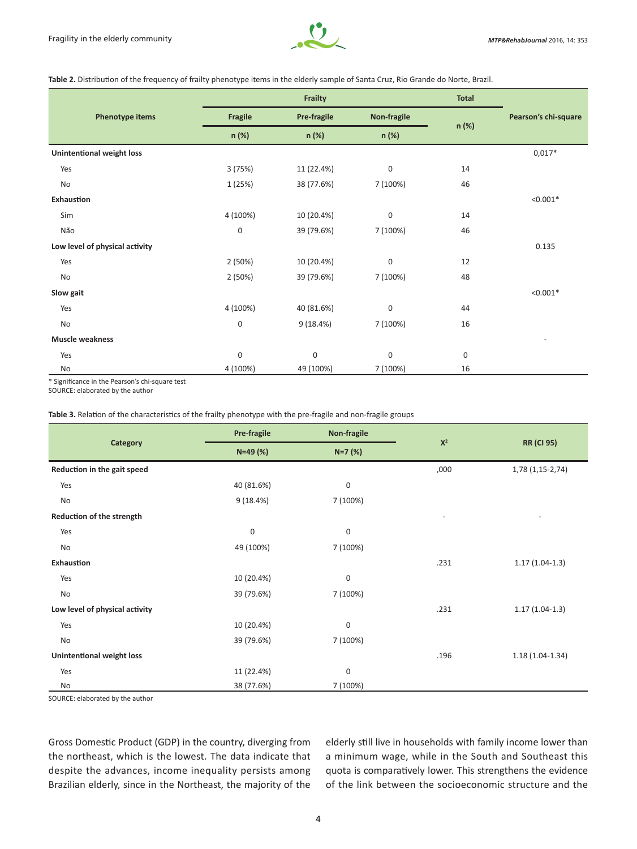

**Table 2.** Distribution of the frequency of frailty phenotype items in the elderly sample of Santa Cruz, Rio Grande do Norte, Brazil.

|                                  | Frailty          |                                                              |                  | <b>Total</b> |                      |
|----------------------------------|------------------|--------------------------------------------------------------|------------------|--------------|----------------------|
| Phenotype items                  | Fragile          | Non-fragile<br><b>Pre-fragile</b><br>n (%)<br>n (%)<br>n (%) |                  | n (%)        | Pearson's chi-square |
|                                  |                  |                                                              |                  |              |                      |
| <b>Unintentional weight loss</b> |                  |                                                              |                  |              | $0,017*$             |
| Yes                              | 3(75%)           | 11 (22.4%)                                                   | $\boldsymbol{0}$ | 14           |                      |
| No                               | 1 (25%)          | 38 (77.6%)                                                   | 7 (100%)         | 46           |                      |
| <b>Exhaustion</b>                |                  |                                                              |                  |              | $< 0.001*$           |
| Sim                              | 4 (100%)         | 10 (20.4%)                                                   | $\mathbf{0}$     | 14           |                      |
| Não                              | $\boldsymbol{0}$ | 39 (79.6%)                                                   | 7 (100%)         | 46           |                      |
| Low level of physical activity   |                  |                                                              |                  |              | 0.135                |
| Yes                              | 2(50%)           | 10 (20.4%)                                                   | $\mathbf{0}$     | 12           |                      |
| No                               | 2(50%)           | 39 (79.6%)                                                   | 7 (100%)         | 48           |                      |
| Slow gait                        |                  |                                                              |                  |              | $< 0.001*$           |
| Yes                              | 4 (100%)         | 40 (81.6%)                                                   | $\mathbf{0}$     | 44           |                      |
| No                               | $\boldsymbol{0}$ | 9(18.4%)                                                     | 7 (100%)         | 16           |                      |
| <b>Muscle weakness</b>           |                  |                                                              |                  |              |                      |
| Yes                              | 0                | $\boldsymbol{0}$                                             | $\mathbf{0}$     | $\mathbf 0$  |                      |
| No                               | 4 (100%)         | 49 (100%)                                                    | 7 (100%)         | 16           |                      |

\* Significance in the Pearson's chi-square test

SOURCE: elaborated by the author

# **Table 3.** Relation of the characteristics of the frailty phenotype with the pre-fragile and non-fragile groups

| Category                       | <b>Pre-fragile</b> | Non-fragile      | $X^2$ |                   |
|--------------------------------|--------------------|------------------|-------|-------------------|
|                                | $N=49(%)$          | $N=7$ (%)        |       | <b>RR (CI 95)</b> |
| Reduction in the gait speed    |                    |                  | ,000  | $1,78(1,15-2,74)$ |
| Yes                            | 40 (81.6%)         | 0                |       |                   |
| No                             | 9(18.4%)           | 7 (100%)         |       |                   |
| Reduction of the strength      |                    |                  |       |                   |
| Yes                            | $\boldsymbol{0}$   | $\boldsymbol{0}$ |       |                   |
| No                             | 49 (100%)          | 7 (100%)         |       |                   |
| Exhaustion                     |                    |                  | .231  | $1.17(1.04-1.3)$  |
| Yes                            | 10 (20.4%)         | $\boldsymbol{0}$ |       |                   |
| No                             | 39 (79.6%)         | 7 (100%)         |       |                   |
| Low level of physical activity |                    |                  | .231  | $1.17(1.04-1.3)$  |
| Yes                            | 10 (20.4%)         | $\boldsymbol{0}$ |       |                   |
| No                             | 39 (79.6%)         | 7 (100%)         |       |                   |
| Unintentional weight loss      |                    |                  | .196  | $1.18(1.04-1.34)$ |
| Yes                            | 11 (22.4%)         | $\boldsymbol{0}$ |       |                   |
| No                             | 38 (77.6%)         | 7 (100%)         |       |                   |

SOURCE: elaborated by the author

Gross Domestic Product (GDP) in the country, diverging from the northeast, which is the lowest. The data indicate that despite the advances, income inequality persists among Brazilian elderly, since in the Northeast, the majority of the elderly still live in households with family income lower than a minimum wage, while in the South and Southeast this quota is comparatively lower. This strengthens the evidence of the link between the socioeconomic structure and the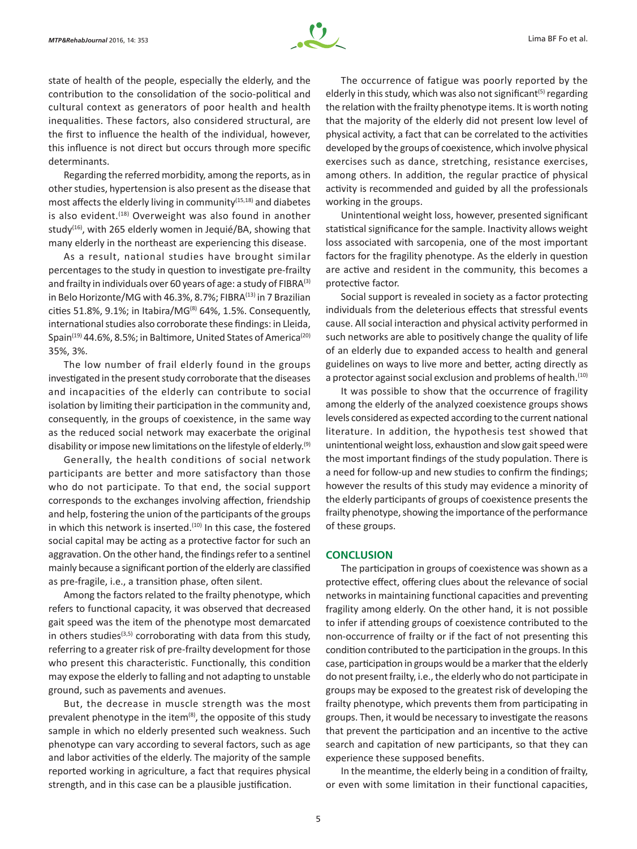

state of health of the people, especially the elderly, and the contribution to the consolidation of the socio-political and cultural context as generators of poor health and health inequalities. These factors, also considered structural, are the first to influence the health of the individual, however, this influence is not direct but occurs through more specific determinants.

Regarding the referred morbidity, among the reports, as in other studies, hypertension is also present as the disease that most affects the elderly living in community<sup>(15,18)</sup> and diabetes is also evident.<sup>(18)</sup> Overweight was also found in another study<sup>(16)</sup>, with 265 elderly women in Jequié/BA, showing that many elderly in the northeast are experiencing this disease.

As a result, national studies have brought similar percentages to the study in question to investigate pre-frailty and frailty in individuals over 60 years of age: a study of FIBR $A^{(3)}$ in Belo Horizonte/MG with 46.3%, 8.7%; FIBRA<sup>(13)</sup> in 7 Brazilian cities 51.8%, 9.1%; in Itabira/MG $^{(8)}$  64%, 1.5%. Consequently, international studies also corroborate these findings: in Lleida, Spain<sup>(19)</sup> 44.6%, 8.5%; in Baltimore, United States of America<sup>(20)</sup> 35%, 3%.

The low number of frail elderly found in the groups investigated in the present study corroborate that the diseases and incapacities of the elderly can contribute to social isolation by limiting their participation in the community and, consequently, in the groups of coexistence, in the same way as the reduced social network may exacerbate the original disability or impose new limitations on the lifestyle of elderly.<sup>(9)</sup>

Generally, the health conditions of social network participants are better and more satisfactory than those who do not participate. To that end, the social support corresponds to the exchanges involving affection, friendship and help, fostering the union of the participants of the groups in which this network is inserted.<sup>(10)</sup> In this case, the fostered social capital may be acting as a protective factor for such an aggravation. On the other hand, the findings refer to a sentinel mainly because a significant portion of the elderly are classified as pre-fragile, i.e., a transition phase, often silent.

Among the factors related to the frailty phenotype, which refers to functional capacity, it was observed that decreased gait speed was the item of the phenotype most demarcated in others studies $(3,5)$  corroborating with data from this study, referring to a greater risk of pre-frailty development for those who present this characteristic. Functionally, this condition may expose the elderly to falling and not adapting to unstable ground, such as pavements and avenues.

But, the decrease in muscle strength was the most prevalent phenotype in the item<sup>(8)</sup>, the opposite of this study sample in which no elderly presented such weakness. Such phenotype can vary according to several factors, such as age and labor activities of the elderly. The majority of the sample reported working in agriculture, a fact that requires physical strength, and in this case can be a plausible justification.

The occurrence of fatigue was poorly reported by the elderly in this study, which was also not significant<sup>(5)</sup> regarding the relation with the frailty phenotype items. It is worth noting that the majority of the elderly did not present low level of physical activity, a fact that can be correlated to the activities developed by the groups of coexistence, which involve physical exercises such as dance, stretching, resistance exercises, among others. In addition, the regular practice of physical activity is recommended and guided by all the professionals working in the groups.

Unintentional weight loss, however, presented significant statistical significance for the sample. Inactivity allows weight loss associated with sarcopenia, one of the most important factors for the fragility phenotype. As the elderly in question are active and resident in the community, this becomes a protective factor.

Social support is revealed in society as a factor protecting individuals from the deleterious effects that stressful events cause. All social interaction and physical activity performed in such networks are able to positively change the quality of life of an elderly due to expanded access to health and general guidelines on ways to live more and better, acting directly as a protector against social exclusion and problems of health.<sup>(10)</sup>

It was possible to show that the occurrence of fragility among the elderly of the analyzed coexistence groups shows levels considered as expected according to the current national literature. In addition, the hypothesis test showed that unintentional weight loss, exhaustion and slow gait speed were the most important findings of the study population. There is a need for follow-up and new studies to confirm the findings; however the results of this study may evidence a minority of the elderly participants of groups of coexistence presents the frailty phenotype, showing the importance of the performance of these groups.

# **CONCLUSION**

The participation in groups of coexistence was shown as a protective effect, offering clues about the relevance of social networks in maintaining functional capacities and preventing fragility among elderly. On the other hand, it is not possible to infer if attending groups of coexistence contributed to the non-occurrence of frailty or if the fact of not presenting this condition contributed to the participation in the groups. In this case, participation in groups would be a marker that the elderly do not present frailty, i.e., the elderly who do not participate in groups may be exposed to the greatest risk of developing the frailty phenotype, which prevents them from participating in groups. Then, it would be necessary to investigate the reasons that prevent the participation and an incentive to the active search and capitation of new participants, so that they can experience these supposed benefits.

In the meantime, the elderly being in a condition of frailty, or even with some limitation in their functional capacities,